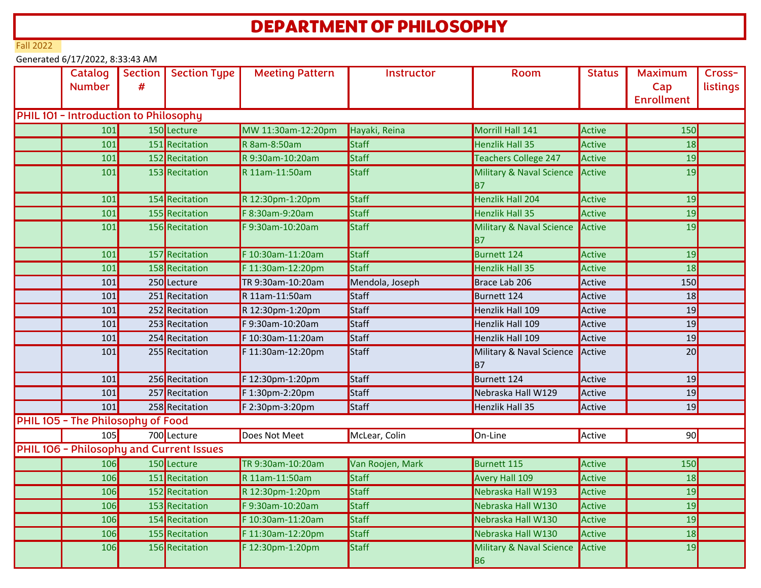## DEPARTMENT OF PHILOSOPHY

Fall 2022

Generated 6/17/2022, 8:33:43 AM

| Catalog<br><b>Number</b>                     | # | Section   Section Type                   | <b>Meeting Pattern</b> | Instructor       | <b>Room</b>                                | <b>Status</b> | <b>Maximum</b><br>Cap<br><b>Enrollment</b> | Cross-<br>listings |
|----------------------------------------------|---|------------------------------------------|------------------------|------------------|--------------------------------------------|---------------|--------------------------------------------|--------------------|
| <b>PHIL 101 - Introduction to Philosophy</b> |   |                                          |                        |                  |                                            |               |                                            |                    |
| 101                                          |   | 150 Lecture                              | MW 11:30am-12:20pm     | Hayaki, Reina    | Morrill Hall 141                           | Active        | 150                                        |                    |
| 101                                          |   | 151 Recitation                           | R 8am-8:50am           | Staff            | Henzlik Hall 35                            | Active        | 18                                         |                    |
| 101                                          |   | 152 Recitation                           | R 9:30am-10:20am       | Staff            | Teachers College 247                       | Active        | 19                                         |                    |
| 101                                          |   | 153 Recitation                           | R 11am-11:50am         | <b>Staff</b>     | Military & Naval Science<br>B <sub>7</sub> | Active        | 19                                         |                    |
| 101                                          |   | 154 Recitation                           | R 12:30pm-1:20pm       | Staff            | Henzlik Hall 204                           | Active        | 19                                         |                    |
| 101                                          |   | 155 Recitation                           | F 8:30am-9:20am        | <b>Staff</b>     | Henzlik Hall 35                            | Active        | 19                                         |                    |
| 101                                          |   | 156 Recitation                           | F 9:30am-10:20am       | Staff            | Military & Naval Science<br> B7            | Active        | 19                                         |                    |
| 101                                          |   | 157 Recitation                           | F 10:30am-11:20am      | Staff            | <b>Burnett 124</b>                         | Active        | 19                                         |                    |
| 101                                          |   | 158 Recitation                           | F 11:30am-12:20pm      | Staff            | <b>Henzlik Hall 35</b>                     | Active        | 18                                         |                    |
| 101                                          |   | 250 Lecture                              | TR 9:30am-10:20am      | Mendola, Joseph  | Brace Lab 206                              | Active        | 150                                        |                    |
| 101                                          |   | 251 Recitation                           | R 11am-11:50am         | Staff            | Burnett 124                                | Active        | 18                                         |                    |
| 101                                          |   | 252 Recitation                           | R 12:30pm-1:20pm       | Staff            | Henzlik Hall 109                           | Active        | 19                                         |                    |
| 101                                          |   | 253 Recitation                           | F 9:30am-10:20am       | Staff            | Henzlik Hall 109                           | Active        | 19                                         |                    |
| 101                                          |   | 254 Recitation                           | F 10:30am-11:20am      | Staff            | Henzlik Hall 109                           | Active        | 19                                         |                    |
| 101                                          |   | 255 Recitation                           | F 11:30am-12:20pm      | Staff            | Military & Naval Science<br> B7            | Active        | 20                                         |                    |
| 101                                          |   | 256 Recitation                           | F 12:30pm-1:20pm       | Staff            | Burnett 124                                | Active        | 19                                         |                    |
| 101                                          |   | 257 Recitation                           | F 1:30pm-2:20pm        | Staff            | Nebraska Hall W129                         | Active        | 19                                         |                    |
| 101                                          |   | 258 Recitation                           | F 2:30pm-3:20pm        | Staff            | Henzlik Hall 35                            | Active        | 19                                         |                    |
| PHIL 105 - The Philosophy of Food            |   |                                          |                        |                  |                                            |               |                                            |                    |
| 105                                          |   | 700 Lecture                              | Does Not Meet          | McLear, Colin    | On-Line                                    | Active        | 90                                         |                    |
|                                              |   | PHIL 106 - Philosophy and Current Issues |                        |                  |                                            |               |                                            |                    |
| 106                                          |   | 150 Lecture                              | TR 9:30am-10:20am      | Van Roojen, Mark | Burnett 115                                | Active        | 150                                        |                    |
| 106                                          |   | 151 Recitation                           | R 11am-11:50am         | <b>Staff</b>     | Avery Hall 109                             | Active        | 18                                         |                    |
| 106                                          |   | 152 Recitation                           | R 12:30pm-1:20pm       | Staff            | Nebraska Hall W193                         | Active        | 19                                         |                    |
| 106                                          |   | 153 Recitation                           | F 9:30am-10:20am       | Staff            | Nebraska Hall W130                         | Active        | 19                                         |                    |
| 106                                          |   | 154 Recitation                           | F 10:30am-11:20am      | Staff            | Nebraska Hall W130                         | Active        | 19                                         |                    |
| 106                                          |   | 155 Recitation                           | F 11:30am-12:20pm      | Staff            | Nebraska Hall W130                         | Active        | 18                                         |                    |
| 106                                          |   | 156 Recitation                           | F 12:30pm-1:20pm       | <b>Staff</b>     | Military & Naval Science<br><b>B6</b>      | Active        | 19                                         |                    |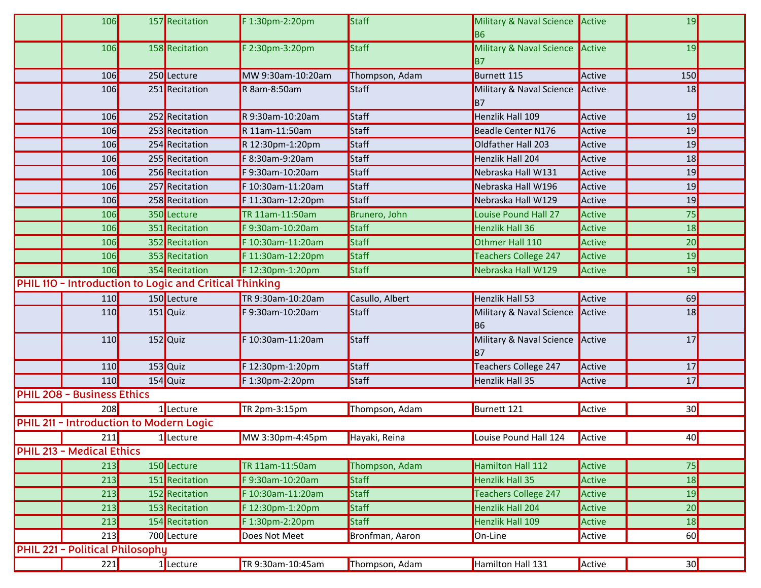|                                 | 106                                     |  | 157 Recitation                                         | F 1:30pm-2:20pm   | Staff           | Military & Naval Science<br><b>B6</b> | Active | 19              |  |
|---------------------------------|-----------------------------------------|--|--------------------------------------------------------|-------------------|-----------------|---------------------------------------|--------|-----------------|--|
|                                 | <b>106</b>                              |  | 158 Recitation                                         | F 2:30pm-3:20pm   | Staff           | Military & Naval Science<br>B7        | Active | 19              |  |
|                                 | 106                                     |  | 250 Lecture                                            | MW 9:30am-10:20am | Thompson, Adam  | Burnett 115                           | Active | 150             |  |
|                                 | 106                                     |  | 251 Recitation                                         | R 8am-8:50am      | <b>Staff</b>    | Military & Naval Science<br><b>B7</b> | Active | 18              |  |
|                                 | 106                                     |  | 252 Recitation                                         | R 9:30am-10:20am  | Staff           | Henzlik Hall 109                      | Active | 19              |  |
|                                 | 106                                     |  | 253 Recitation                                         | R 11am-11:50am    | Staff           | Beadle Center N176                    | Active | 19              |  |
|                                 | 106                                     |  | 254 Recitation                                         | R 12:30pm-1:20pm  | Staff           | Oldfather Hall 203                    | Active | 19              |  |
|                                 | 106                                     |  | 255 Recitation                                         | F 8:30am-9:20am   | Staff           | Henzlik Hall 204                      | Active | 18              |  |
|                                 | 106                                     |  | 256 Recitation                                         | F 9:30am-10:20am  | <b>Staff</b>    | Nebraska Hall W131                    | Active | 19              |  |
|                                 | 106                                     |  | 257 Recitation                                         | F 10:30am-11:20am | Staff           | Nebraska Hall W196                    | Active | 19              |  |
|                                 | 106                                     |  | 258 Recitation                                         | F 11:30am-12:20pm | Staff           | Nebraska Hall W129                    | Active | 19              |  |
|                                 | 106                                     |  | 350 Lecture                                            | TR 11am-11:50am   | Brunero, John   | <b>Louise Pound Hall 27</b>           | Active | 75              |  |
|                                 | 106                                     |  | 351 Recitation                                         | F 9:30am-10:20am  | <b>Staff</b>    | Henzlik Hall 36                       | Active | 18              |  |
|                                 | 106                                     |  | 352 Recitation                                         | F 10:30am-11:20am | <b>Staff</b>    | Othmer Hall 110                       | Active | $\overline{20}$ |  |
|                                 | 106                                     |  | 353 Recitation                                         | F 11:30am-12:20pm | <b>Staff</b>    | Teachers College 247                  | Active | 19              |  |
|                                 | 106                                     |  | 354 Recitation                                         | F 12:30pm-1:20pm  | Staff           | Nebraska Hall W129                    | Active | 19              |  |
|                                 |                                         |  | PHIL 110 - Introduction to Logic and Critical Thinking |                   |                 |                                       |        |                 |  |
|                                 | 110                                     |  | 150 Lecture                                            | TR 9:30am-10:20am | Casullo, Albert | Henzlik Hall 53                       | Active | 69              |  |
|                                 | 110                                     |  | $151$ Quiz                                             | F 9:30am-10:20am  | <b>Staff</b>    | Military & Naval Science<br><b>B6</b> | Active | 18              |  |
|                                 | 110                                     |  | 152 Quiz                                               | F 10:30am-11:20am | Staff           | Military & Naval Science<br><b>B7</b> | Active | 17              |  |
|                                 | 110                                     |  | 153 Quiz                                               | F 12:30pm-1:20pm  | Staff           | Teachers College 247                  | Active | 17              |  |
|                                 | 110                                     |  | 154 Quiz                                               | F 1:30pm-2:20pm   | Staff           | Henzlik Hall 35                       | Active | 17              |  |
|                                 | <b>PHIL 208 - Business Ethics</b>       |  |                                                        |                   |                 |                                       |        |                 |  |
|                                 | 208                                     |  | $1$ Lecture                                            | TR 2pm-3:15pm     | Thompson, Adam  | Burnett 121                           | Active | 30              |  |
|                                 | PHIL 211 - Introduction to Modern Logic |  |                                                        |                   |                 |                                       |        |                 |  |
|                                 | 211                                     |  | 1 Lecture                                              | MW 3:30pm-4:45pm  | Hayaki, Reina   | Louise Pound Hall 124                 | Active | 40              |  |
|                                 | <b>PHIL 213 - Medical Ethics</b>        |  |                                                        |                   |                 |                                       |        |                 |  |
|                                 | 213                                     |  | 150 Lecture                                            | TR 11am-11:50am   | Thompson, Adam  | Hamilton Hall 112                     | Active | 75              |  |
|                                 | 213                                     |  | 151 Recitation                                         | F 9:30am-10:20am  | <b>Staff</b>    | Henzlik Hall 35                       | Active | 18              |  |
|                                 | 213                                     |  | 152 Recitation                                         | F 10:30am-11:20am | <b>Staff</b>    | Teachers College 247                  | Active | 19              |  |
|                                 | 213                                     |  | 153 Recitation                                         | F 12:30pm-1:20pm  | Staff           | Henzlik Hall 204                      | Active | 20              |  |
|                                 | 213                                     |  | 154 Recitation                                         | F 1:30pm-2:20pm   | <b>Staff</b>    | Henzlik Hall 109                      | Active | 18              |  |
|                                 | 213                                     |  | 700 Lecture                                            | Does Not Meet     | Bronfman, Aaron | On-Line                               | Active | 60              |  |
| PHIL 221 - Political Philosophy |                                         |  |                                                        |                   |                 |                                       |        |                 |  |
|                                 | 221                                     |  | 1 Lecture                                              | TR 9:30am-10:45am | Thompson, Adam  | Hamilton Hall 131                     | Active | 30              |  |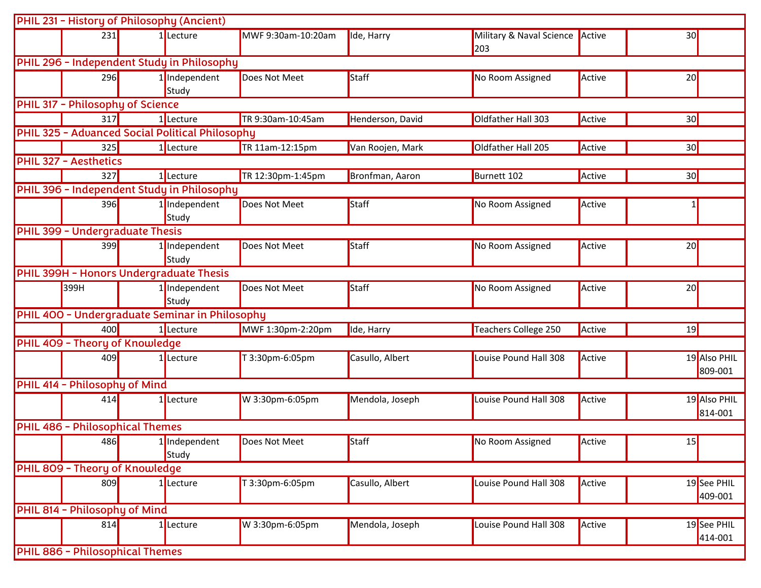|                                        | PHIL 231 - History of Philosophy (Ancient) |                                                 |                    |                  |                          |        |              |  |
|----------------------------------------|--------------------------------------------|-------------------------------------------------|--------------------|------------------|--------------------------|--------|--------------|--|
| 231                                    |                                            | 1 Lecture                                       | MWF 9:30am-10:20am | Ide, Harry       | Military & Naval Science | Active | 30           |  |
|                                        |                                            |                                                 |                    |                  | 203                      |        |              |  |
|                                        |                                            | PHIL 296 - Independent Study in Philosophy      |                    |                  |                          |        |              |  |
| 296                                    |                                            | 1 Independent                                   | Does Not Meet      | Staff            | No Room Assigned         | Active | 20           |  |
|                                        |                                            | Study                                           |                    |                  |                          |        |              |  |
| PHIL 317 - Philosophy of Science       |                                            |                                                 |                    |                  |                          |        |              |  |
| 317                                    |                                            | 1 Lecture                                       | TR 9:30am-10:45am  | Henderson, David | Oldfather Hall 303       | Active | 30           |  |
|                                        |                                            | PHIL 325 - Advanced Social Political Philosophy |                    |                  |                          |        |              |  |
| 325                                    |                                            | 1 Lecture                                       | TR 11am-12:15pm    | Van Roojen, Mark | Oldfather Hall 205       | Active | 30           |  |
| <b>PHIL 327 - Aesthetics</b>           |                                            |                                                 |                    |                  |                          |        |              |  |
| 327                                    |                                            | 1 Lecture                                       | TR 12:30pm-1:45pm  | Bronfman, Aaron  | Burnett 102              | Active | 30           |  |
|                                        |                                            | PHIL 396 - Independent Study in Philosophy      |                    |                  |                          |        |              |  |
| 396                                    |                                            | 1 Independent                                   | Does Not Meet      | Staff            | No Room Assigned         | Active |              |  |
|                                        |                                            | Study                                           |                    |                  |                          |        |              |  |
| PHIL 399 - Undergraduate Thesis        |                                            |                                                 |                    |                  |                          |        |              |  |
| 399                                    |                                            | 1 Independent                                   | Does Not Meet      | Staff            | No Room Assigned         | Active | 20           |  |
|                                        |                                            | Study                                           |                    |                  |                          |        |              |  |
|                                        |                                            | PHIL 399H - Honors Undergraduate Thesis         |                    |                  |                          |        |              |  |
| 399H                                   |                                            | 1 Independent                                   | Does Not Meet      | Staff            | No Room Assigned         | Active | 20           |  |
|                                        |                                            | Study                                           |                    |                  |                          |        |              |  |
|                                        |                                            | PHIL 400 - Undergraduate Seminar in Philosophy  |                    |                  |                          |        |              |  |
| 400                                    |                                            | 1 Lecture                                       | MWF 1:30pm-2:20pm  | Ide, Harry       | Teachers College 250     | Active | 19           |  |
| PHIL 409 - Theory of Knowledge         |                                            |                                                 |                    |                  |                          |        |              |  |
| 409                                    |                                            | 1 Lecture                                       | T 3:30pm-6:05pm    | Casullo, Albert  | Louise Pound Hall 308    | Active | 19 Also PHIL |  |
|                                        |                                            |                                                 |                    |                  |                          |        | 809-001      |  |
| PHIL 414 - Philosophy of Mind          |                                            |                                                 |                    |                  |                          |        |              |  |
| 414                                    |                                            | 1 Lecture                                       | W 3:30pm-6:05pm    | Mendola, Joseph  | Louise Pound Hall 308    | Active | 19 Also PHIL |  |
|                                        |                                            |                                                 |                    |                  |                          |        | 814-001      |  |
| <b>PHIL 486 - Philosophical Themes</b> |                                            |                                                 |                    |                  |                          |        |              |  |
| 486                                    |                                            | 1 Independent                                   | Does Not Meet      | Staff            | No Room Assigned         | Active | 15           |  |
|                                        |                                            | Study                                           |                    |                  |                          |        |              |  |
| PHIL 809 - Theory of Knowledge         |                                            |                                                 |                    |                  |                          |        |              |  |
| 809                                    |                                            | 1 Lecture                                       | T 3:30pm-6:05pm    | Casullo, Albert  | Louise Pound Hall 308    | Active | 19 See PHIL  |  |
|                                        |                                            |                                                 |                    |                  |                          |        | 409-001      |  |
| PHIL 814 - Philosophy of Mind          |                                            |                                                 |                    |                  |                          |        |              |  |
| 814                                    |                                            | 1 Lecture                                       | W 3:30pm-6:05pm    | Mendola, Joseph  | Louise Pound Hall 308    | Active | 19 See PHIL  |  |
|                                        |                                            |                                                 |                    |                  |                          |        | 414-001      |  |
| PHIL 886 - Philosophical Themes        |                                            |                                                 |                    |                  |                          |        |              |  |